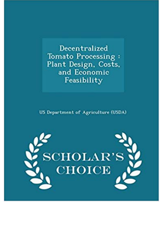Decentralized Tomato Processing: Plant Design, Costs, and Economic Feasibility

**US Department of Agriculture (USDA)** 

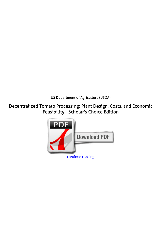*US Department of Agriculture (USDA)*

**Decentralized Tomato Processing: Plant Design, Costs, and Economic Feasibility - Scholar's Choice Edition**

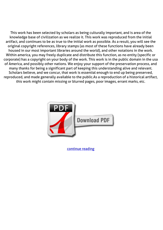This work has been selected by scholars as being culturally important, and is area of the knowledge base of civilization as we realize it. This work was reproduced from the initial artifact, and continues to be as true to the initial work as possible. As a result, you will see the original copyright references, library stamps (as most of these functions have already been housed in our most important libraries around the world), and other notations in the work. Within america, you may freely duplicate and distribute this function, as no entity (specific or corporate) has a copyright on your body of the work. This work is in the public domain in the usa of America, and possibly other nations. We enjoy your support of the preservation process, and many thanks for being a significant part of keeping this understanding alive and relevant. Scholars believe, and we concur, that work is essential enough to end up being preserved, reproduced, and made generally available to the public.As a reproduction of a historical artifact, this work might contain missing or blurred pages, poor images, errant marks, etc.



[continue reading](http://bit.ly/2Tge8Fv)